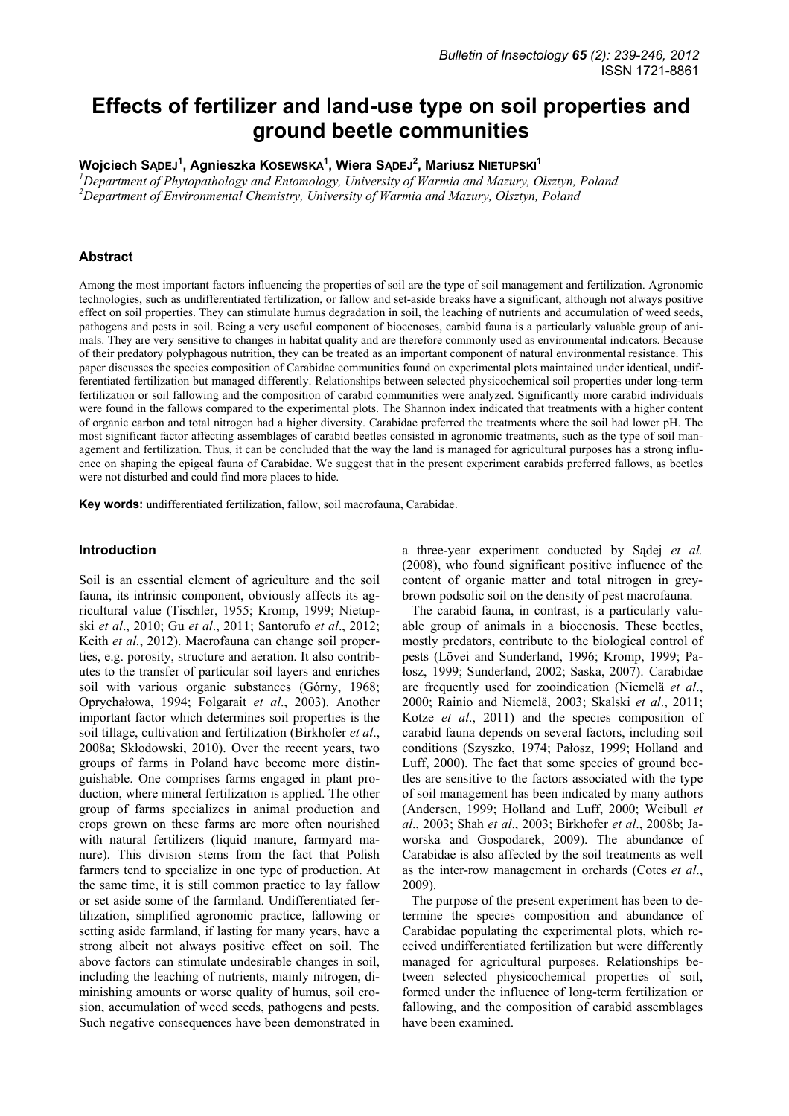# **Effects of fertilizer and land-use type on soil properties and ground beetle communities**

**Wojciech SĄDEJ<sup>1</sup> , Agnieszka KOSEWSKA1 , Wiera SĄDEJ<sup>2</sup> , Mariusz NIETUPSKI<sup>1</sup>**

*1 Department of Phytopathology and Entomology, University of Warmia and Mazury, Olsztyn, Poland 2 Department of Environmental Chemistry, University of Warmia and Mazury, Olsztyn, Poland* 

## **Abstract**

Among the most important factors influencing the properties of soil are the type of soil management and fertilization. Agronomic technologies, such as undifferentiated fertilization, or fallow and set-aside breaks have a significant, although not always positive effect on soil properties. They can stimulate humus degradation in soil, the leaching of nutrients and accumulation of weed seeds, pathogens and pests in soil. Being a very useful component of biocenoses, carabid fauna is a particularly valuable group of animals. They are very sensitive to changes in habitat quality and are therefore commonly used as environmental indicators. Because of their predatory polyphagous nutrition, they can be treated as an important component of natural environmental resistance. This paper discusses the species composition of Carabidae communities found on experimental plots maintained under identical, undifferentiated fertilization but managed differently. Relationships between selected physicochemical soil properties under long-term fertilization or soil fallowing and the composition of carabid communities were analyzed. Significantly more carabid individuals were found in the fallows compared to the experimental plots. The Shannon index indicated that treatments with a higher content of organic carbon and total nitrogen had a higher diversity. Carabidae preferred the treatments where the soil had lower pH. The most significant factor affecting assemblages of carabid beetles consisted in agronomic treatments, such as the type of soil management and fertilization. Thus, it can be concluded that the way the land is managed for agricultural purposes has a strong influence on shaping the epigeal fauna of Carabidae. We suggest that in the present experiment carabids preferred fallows, as beetles were not disturbed and could find more places to hide.

**Key words:** undifferentiated fertilization, fallow, soil macrofauna, Carabidae.

#### **Introduction**

Soil is an essential element of agriculture and the soil fauna, its intrinsic component, obviously affects its agricultural value (Tischler, 1955; Kromp, 1999; Nietupski *et al*., 2010; Gu *et al*., 2011; Santorufo *et al*., 2012; Keith *et al.*, 2012). Macrofauna can change soil properties, e.g. porosity, structure and aeration. It also contributes to the transfer of particular soil layers and enriches soil with various organic substances (Górny, 1968; Oprychałowa, 1994; Folgarait *et al*., 2003). Another important factor which determines soil properties is the soil tillage, cultivation and fertilization (Birkhofer *et al*., 2008a; Skłodowski, 2010). Over the recent years, two groups of farms in Poland have become more distinguishable. One comprises farms engaged in plant production, where mineral fertilization is applied. The other group of farms specializes in animal production and crops grown on these farms are more often nourished with natural fertilizers (liquid manure, farmyard manure). This division stems from the fact that Polish farmers tend to specialize in one type of production. At the same time, it is still common practice to lay fallow or set aside some of the farmland. Undifferentiated fertilization, simplified agronomic practice, fallowing or setting aside farmland, if lasting for many years, have a strong albeit not always positive effect on soil. The above factors can stimulate undesirable changes in soil, including the leaching of nutrients, mainly nitrogen, diminishing amounts or worse quality of humus, soil erosion, accumulation of weed seeds, pathogens and pests. Such negative consequences have been demonstrated in a three-year experiment conducted by Sądej *et al.* (2008), who found significant positive influence of the content of organic matter and total nitrogen in greybrown podsolic soil on the density of pest macrofauna.

The carabid fauna, in contrast, is a particularly valuable group of animals in a biocenosis. These beetles, mostly predators, contribute to the biological control of pests (Lövei and Sunderland, 1996; Kromp, 1999; Pałosz, 1999; Sunderland, 2002; Saska, 2007). Carabidae are frequently used for zooindication (Niemelä *et al*., 2000; Rainio and Niemelä, 2003; Skalski *et al*., 2011; Kotze *et al*., 2011) and the species composition of carabid fauna depends on several factors, including soil conditions (Szyszko, 1974; Pałosz, 1999; Holland and Luff, 2000). The fact that some species of ground beetles are sensitive to the factors associated with the type of soil management has been indicated by many authors (Andersen, 1999; Holland and Luff, 2000; Weibull *et al*., 2003; Shah *et al*., 2003; Birkhofer *et al*., 2008b; Jaworska and Gospodarek, 2009). The abundance of Carabidae is also affected by the soil treatments as well as the inter-row management in orchards (Cotes *et al*., 2009).

The purpose of the present experiment has been to determine the species composition and abundance of Carabidae populating the experimental plots, which received undifferentiated fertilization but were differently managed for agricultural purposes. Relationships between selected physicochemical properties of soil, formed under the influence of long-term fertilization or fallowing, and the composition of carabid assemblages have been examined.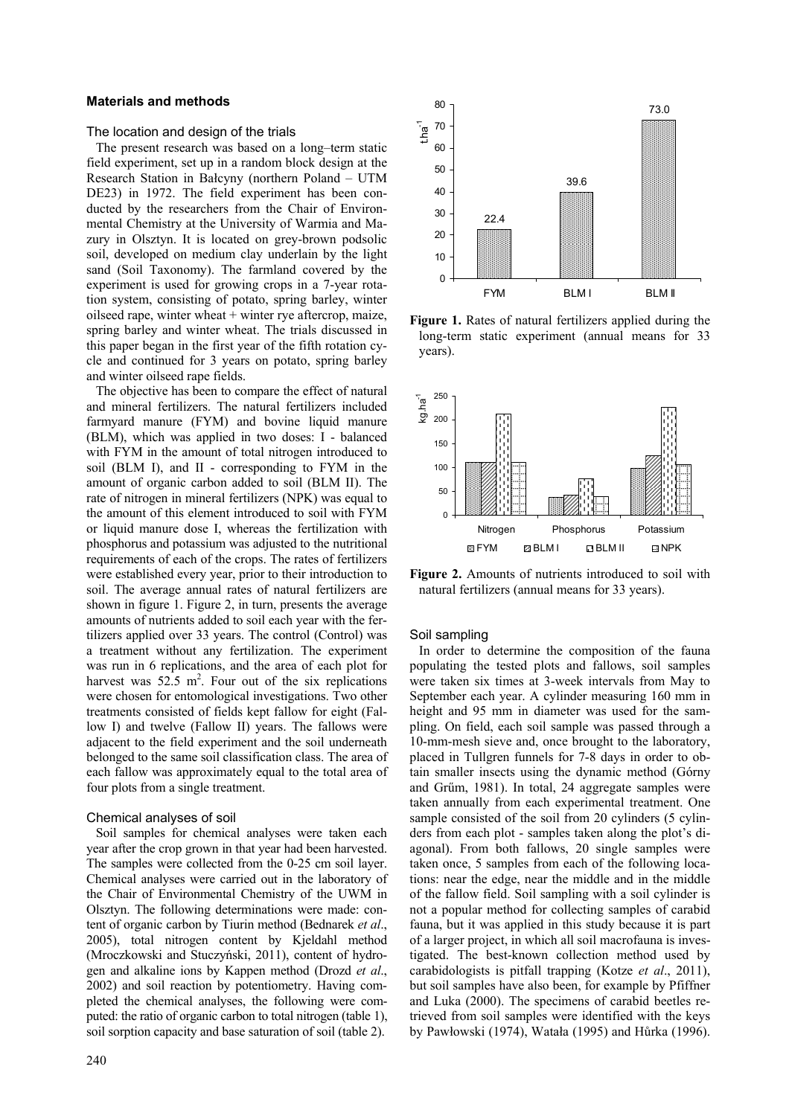## **Materials and methods**

The location and design of the trials

The present research was based on a long–term static field experiment, set up in a random block design at the Research Station in Bałcyny (northern Poland – UTM DE23) in 1972. The field experiment has been conducted by the researchers from the Chair of Environmental Chemistry at the University of Warmia and Mazury in Olsztyn. It is located on grey-brown podsolic soil, developed on medium clay underlain by the light sand (Soil Taxonomy). The farmland covered by the experiment is used for growing crops in a 7-year rotation system, consisting of potato, spring barley, winter oilseed rape, winter wheat + winter rye aftercrop, maize, spring barley and winter wheat. The trials discussed in this paper began in the first year of the fifth rotation cycle and continued for 3 years on potato, spring barley and winter oilseed rape fields.

The objective has been to compare the effect of natural and mineral fertilizers. The natural fertilizers included farmyard manure (FYM) and bovine liquid manure (BLM), which was applied in two doses: I - balanced with FYM in the amount of total nitrogen introduced to soil (BLM I), and II - corresponding to FYM in the amount of organic carbon added to soil (BLM II). The rate of nitrogen in mineral fertilizers (NPK) was equal to the amount of this element introduced to soil with FYM or liquid manure dose I, whereas the fertilization with phosphorus and potassium was adjusted to the nutritional requirements of each of the crops. The rates of fertilizers were established every year, prior to their introduction to soil. The average annual rates of natural fertilizers are shown in figure 1. Figure 2, in turn, presents the average amounts of nutrients added to soil each year with the fertilizers applied over 33 years. The control (Control) was a treatment without any fertilization. The experiment was run in 6 replications, and the area of each plot for harvest was  $52.5 \text{ m}^2$ . Four out of the six replications were chosen for entomological investigations. Two other treatments consisted of fields kept fallow for eight (Fallow I) and twelve (Fallow II) years. The fallows were adjacent to the field experiment and the soil underneath belonged to the same soil classification class. The area of each fallow was approximately equal to the total area of four plots from a single treatment.

## Chemical analyses of soil

Soil samples for chemical analyses were taken each year after the crop grown in that year had been harvested. The samples were collected from the 0-25 cm soil layer. Chemical analyses were carried out in the laboratory of the Chair of Environmental Chemistry of the UWM in Olsztyn. The following determinations were made: content of organic carbon by Tiurin method (Bednarek *et al*., 2005), total nitrogen content by Kjeldahl method (Mroczkowski and Stuczyński, 2011), content of hydrogen and alkaline ions by Kappen method (Drozd *et al*., 2002) and soil reaction by potentiometry. Having completed the chemical analyses, the following were computed: the ratio of organic carbon to total nitrogen (table 1), soil sorption capacity and base saturation of soil (table 2).



**Figure 1.** Rates of natural fertilizers applied during the long-term static experiment (annual means for 33 years).



**Figure 2.** Amounts of nutrients introduced to soil with natural fertilizers (annual means for 33 years).

#### Soil sampling

In order to determine the composition of the fauna populating the tested plots and fallows, soil samples were taken six times at 3-week intervals from May to September each year. A cylinder measuring 160 mm in height and 95 mm in diameter was used for the sampling. On field, each soil sample was passed through a 10-mm-mesh sieve and, once brought to the laboratory, placed in Tullgren funnels for 7-8 days in order to obtain smaller insects using the dynamic method (Górny and Grűm, 1981). In total, 24 aggregate samples were taken annually from each experimental treatment. One sample consisted of the soil from 20 cylinders (5 cylinders from each plot - samples taken along the plot's diagonal). From both fallows, 20 single samples were taken once, 5 samples from each of the following locations: near the edge, near the middle and in the middle of the fallow field. Soil sampling with a soil cylinder is not a popular method for collecting samples of carabid fauna, but it was applied in this study because it is part of a larger project, in which all soil macrofauna is investigated. The best-known collection method used by carabidologists is pitfall trapping (Kotze *et al*., 2011), but soil samples have also been, for example by Pfiffner and Luka (2000). The specimens of carabid beetles retrieved from soil samples were identified with the keys by Pawłowski (1974), Watała (1995) and Hůrka (1996).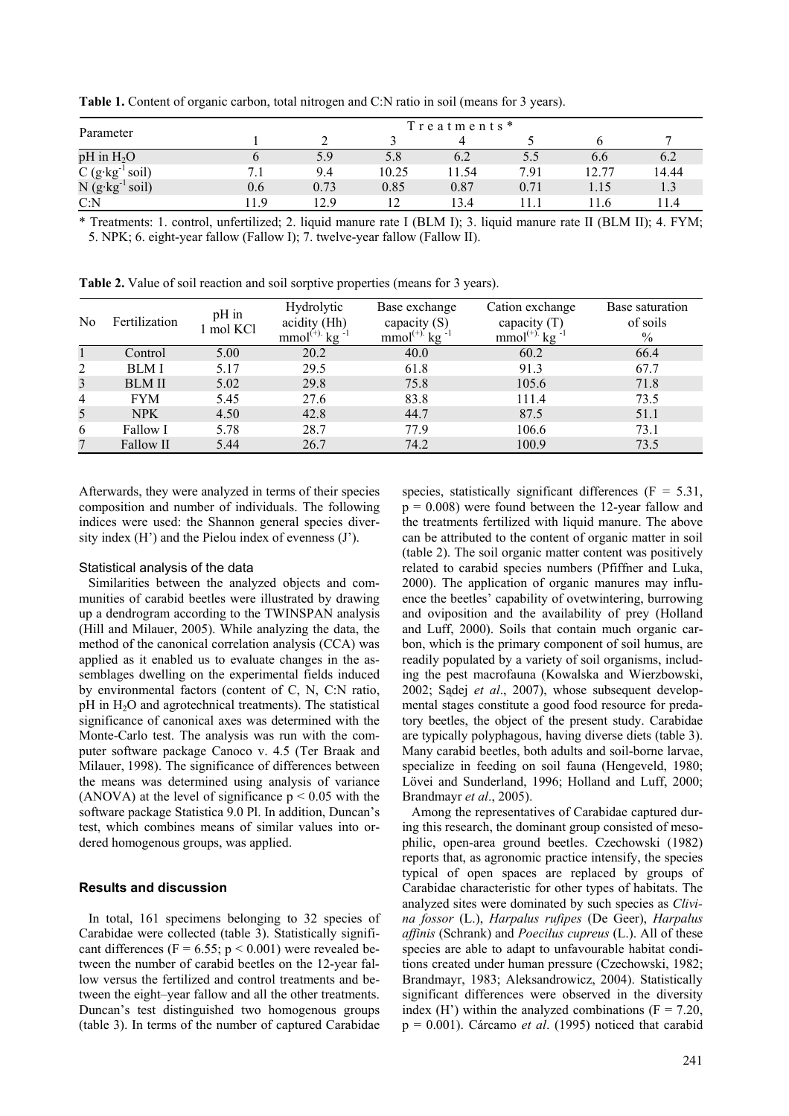**Table 1.** Content of organic carbon, total nitrogen and C:N ratio in soil (means for 3 years).

| Parameter                         | Treatments * |      |       |       |      |       |          |  |
|-----------------------------------|--------------|------|-------|-------|------|-------|----------|--|
|                                   |              |      |       |       |      |       |          |  |
| $pH$ in $H_2O$                    |              | 5.9  | 5.8   | 6.2   | 5.5  | 6.6   | 6.2      |  |
| $C(g \cdot kg^{-1} \text{ soil})$ | <b>7</b> 1   | 9.4  | 10.25 | 11.54 | 7.91 | 12.77 | 14.44    |  |
| $N$ (g·kg <sup>-1</sup><br>soil)  | 0.6          | 0.73 | 0.85  | 0.87  | 0.71 | 1.15  |          |  |
| C: N                              | 19           | 12.9 | ി     | 13.4  |      | 16    | <b>⊿</b> |  |

\* Treatments: 1. control, unfertilized; 2. liquid manure rate I (BLM I); 3. liquid manure rate II (BLM II); 4. FYM; 5. NPK; 6. eight-year fallow (Fallow I); 7. twelve-year fallow (Fallow II).

**Table 2.** Value of soil reaction and soil sorptive properties (means for 3 years).

| No             | Fertilization | pH in<br>1 mol KCl | Hydrolytic<br>acidity (Hh)<br>$mmol^{(+)}$ kg | Base exchange<br>capacity $(S)$<br>mmol <sup>(+)</sup> kg $^{-1}$ | Cation exchange<br>capacity $(T)$<br>$mmol^{(+)}$ kg | Base saturation<br>of soils<br>$\%$ |
|----------------|---------------|--------------------|-----------------------------------------------|-------------------------------------------------------------------|------------------------------------------------------|-------------------------------------|
|                | Control       | 5.00               | 20.2                                          | 40.0                                                              | 60.2                                                 | 66.4                                |
| 2              | <b>BLM I</b>  | 5.17               | 29.5                                          | 61.8                                                              | 91.3                                                 | 67.7                                |
| 3              | <b>BLM II</b> | 5.02               | 29.8                                          | 75.8                                                              | 105.6                                                | 71.8                                |
| $\overline{4}$ | <b>FYM</b>    | 5.45               | 27.6                                          | 83.8                                                              | 111.4                                                | 73.5                                |
| 5              | <b>NPK</b>    | 4.50               | 42.8                                          | 44.7                                                              | 87.5                                                 | 51.1                                |
| 6              | Fallow I      | 5.78               | 28.7                                          | 77.9                                                              | 106.6                                                | 73.1                                |
| 7              | Fallow II     | 5.44               | 26.7                                          | 74.2                                                              | 100.9                                                | 73.5                                |

Afterwards, they were analyzed in terms of their species composition and number of individuals. The following indices were used: the Shannon general species diversity index  $(H')$  and the Pielou index of evenness  $(J')$ .

#### Statistical analysis of the data

Similarities between the analyzed objects and communities of carabid beetles were illustrated by drawing up a dendrogram according to the TWINSPAN analysis (Hill and Milauer, 2005). While analyzing the data, the method of the canonical correlation analysis (CCA) was applied as it enabled us to evaluate changes in the assemblages dwelling on the experimental fields induced by environmental factors (content of C, N, C:N ratio,  $pH$  in  $H<sub>2</sub>O$  and agrotechnical treatments). The statistical significance of canonical axes was determined with the Monte-Carlo test. The analysis was run with the computer software package Canoco v. 4.5 (Ter Braak and Milauer, 1998). The significance of differences between the means was determined using analysis of variance (ANOVA) at the level of significance  $p \le 0.05$  with the software package Statistica 9.0 Pl. In addition, Duncan's test, which combines means of similar values into ordered homogenous groups, was applied.

## **Results and discussion**

In total, 161 specimens belonging to 32 species of Carabidae were collected (table 3). Statistically significant differences ( $F = 6.55$ ;  $p < 0.001$ ) were revealed between the number of carabid beetles on the 12-year fallow versus the fertilized and control treatments and between the eight–year fallow and all the other treatments. Duncan's test distinguished two homogenous groups (table 3). In terms of the number of captured Carabidae species, statistically significant differences ( $F = 5.31$ ,  $p = 0.008$ ) were found between the 12-year fallow and the treatments fertilized with liquid manure. The above can be attributed to the content of organic matter in soil (table 2). The soil organic matter content was positively related to carabid species numbers (Pfiffner and Luka, 2000). The application of organic manures may influence the beetles' capability of ovetwintering, burrowing and oviposition and the availability of prey (Holland and Luff, 2000). Soils that contain much organic carbon, which is the primary component of soil humus, are readily populated by a variety of soil organisms, including the pest macrofauna (Kowalska and Wierzbowski, 2002; Sądej *et al*., 2007), whose subsequent developmental stages constitute a good food resource for predatory beetles, the object of the present study. Carabidae are typically polyphagous, having diverse diets (table 3). Many carabid beetles, both adults and soil-borne larvae, specialize in feeding on soil fauna (Hengeveld, 1980; Lövei and Sunderland, 1996; Holland and Luff, 2000; Brandmayr *et al*., 2005).

Among the representatives of Carabidae captured during this research, the dominant group consisted of mesophilic, open-area ground beetles. Czechowski (1982) reports that, as agronomic practice intensify, the species typical of open spaces are replaced by groups of Carabidae characteristic for other types of habitats. The analyzed sites were dominated by such species as *Clivina fossor* (L.), *Harpalus rufipes* (De Geer), *Harpalus affinis* (Schrank) and *Poecilus cupreus* (L.). All of these species are able to adapt to unfavourable habitat conditions created under human pressure (Czechowski, 1982; Brandmayr, 1983; Aleksandrowicz, 2004). Statistically significant differences were observed in the diversity index  $(H')$  within the analyzed combinations  $(F = 7.20,$ p = 0.001). Cárcamo *et al*. (1995) noticed that carabid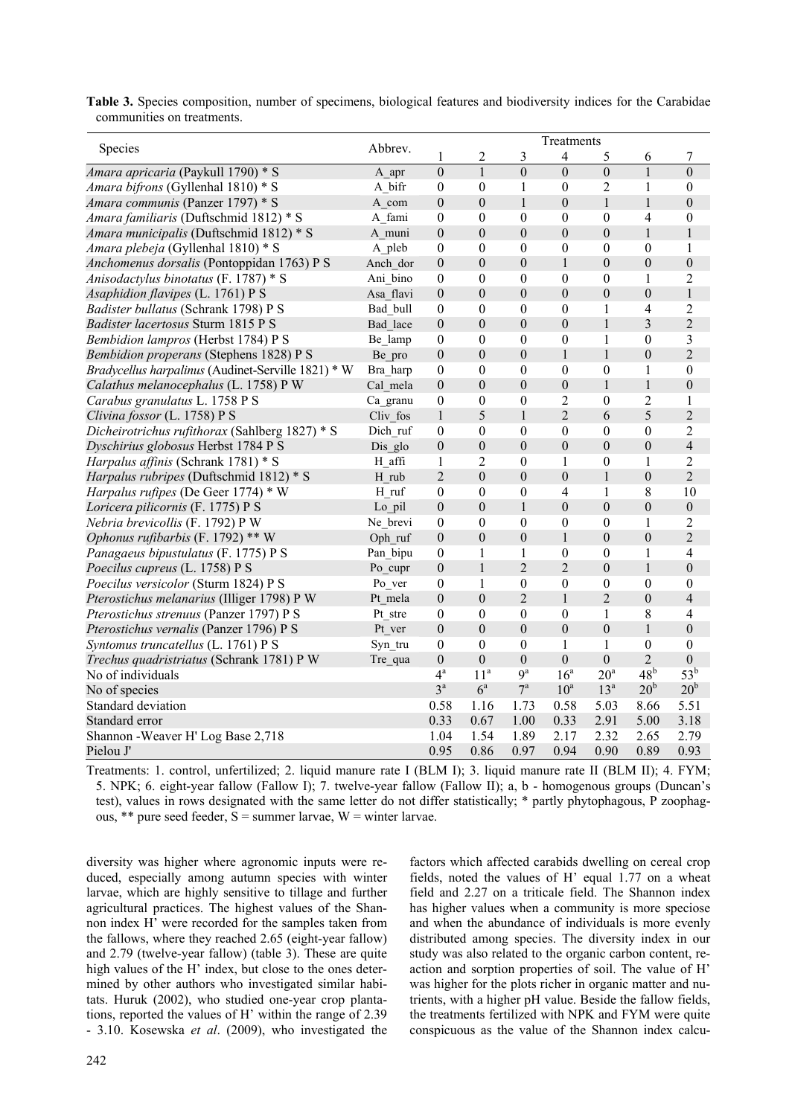|                                                    | Abbrev.   | Treatments       |                         |                  |                          |                  |                  |                  |
|----------------------------------------------------|-----------|------------------|-------------------------|------------------|--------------------------|------------------|------------------|------------------|
| Species                                            |           | 1                | $\overline{\mathbf{c}}$ | $\mathfrak{Z}$   | $\overline{\mathcal{A}}$ | 5                | 6                | 7                |
| Amara apricaria (Paykull 1790) * S                 | A apr     | $\overline{0}$   | $\overline{1}$          | $\overline{0}$   | $\overline{0}$           | $\overline{0}$   | $\overline{1}$   | $\overline{0}$   |
| Amara bifrons (Gyllenhal 1810) * S                 | A bifr    | $\boldsymbol{0}$ | $\boldsymbol{0}$        | $\mathbf{1}$     | $\boldsymbol{0}$         | $\overline{2}$   | $\mathbf{1}$     | $\boldsymbol{0}$ |
| Amara communis (Panzer 1797) * S                   | A com     | $\boldsymbol{0}$ | $\overline{0}$          | $\mathbf{1}$     | $\overline{0}$           | $\mathbf{1}$     | $\mathbf{1}$     | $\mathbf{0}$     |
| Amara familiaris (Duftschmid 1812) * S             | A fami    | $\boldsymbol{0}$ | $\boldsymbol{0}$        | $\boldsymbol{0}$ | $\theta$                 | $\mathbf{0}$     | 4                | $\boldsymbol{0}$ |
| Amara municipalis (Duftschmid 1812) * S            | A muni    | $\boldsymbol{0}$ | $\overline{0}$          | $\mathbf{0}$     | $\boldsymbol{0}$         | $\mathbf{0}$     | $\mathbf{1}$     | $\mathbf{1}$     |
| Amara plebeja (Gyllenhal 1810) * S                 | A pleb    | $\boldsymbol{0}$ | $\overline{0}$          | $\boldsymbol{0}$ | $\overline{0}$           | $\boldsymbol{0}$ | $\theta$         | 1                |
| Anchomenus dorsalis (Pontoppidan 1763) P S         | Anch dor  | $\boldsymbol{0}$ | $\boldsymbol{0}$        | $\boldsymbol{0}$ | $\mathbf{1}$             | $\boldsymbol{0}$ | $\boldsymbol{0}$ | $\boldsymbol{0}$ |
| Anisodactylus binotatus (F. 1787) * S              | Ani bino  | $\mathbf{0}$     | $\boldsymbol{0}$        | $\boldsymbol{0}$ | $\boldsymbol{0}$         | $\mathbf{0}$     | $\mathbf{1}$     | $\overline{2}$   |
| Asaphidion flavipes (L. 1761) P S                  | Asa flavi | $\boldsymbol{0}$ | $\overline{0}$          | $\boldsymbol{0}$ | $\mathbf{0}$             | $\boldsymbol{0}$ | $\mathbf{0}$     | $\,1$            |
| Badister bullatus (Schrank 1798) P S               | Bad bull  | $\boldsymbol{0}$ | $\mathbf{0}$            | $\boldsymbol{0}$ | $\theta$                 | $\mathbf{1}$     | 4                | $\overline{2}$   |
| Badister lacertosus Sturm 1815 P S                 | Bad lace  | $\boldsymbol{0}$ | $\theta$                | $\boldsymbol{0}$ | $\overline{0}$           | $\mathbf{1}$     | $\overline{3}$   | $\overline{2}$   |
| Bembidion lampros (Herbst 1784) P S                | Be lamp   | $\boldsymbol{0}$ | $\boldsymbol{0}$        | $\boldsymbol{0}$ | $\boldsymbol{0}$         | $\mathbf{1}$     | $\boldsymbol{0}$ | $\overline{3}$   |
| Bembidion properans (Stephens 1828) P S            | Be pro    | $\boldsymbol{0}$ | $\overline{0}$          | $\boldsymbol{0}$ | $\mathbf{1}$             | $\mathbf{1}$     | $\mathbf{0}$     | $\overline{2}$   |
| Bradycellus harpalinus (Audinet-Serville 1821) * W | Bra harp  | $\boldsymbol{0}$ | $\boldsymbol{0}$        | $\boldsymbol{0}$ | $\boldsymbol{0}$         | $\boldsymbol{0}$ | $\mathbf{1}$     | $\boldsymbol{0}$ |
| Calathus melanocephalus (L. 1758) P W              | Cal mela  | $\boldsymbol{0}$ | $\overline{0}$          | $\mathbf{0}$     | $\mathbf{0}$             | $\mathbf{1}$     | $\mathbf{1}$     | $\boldsymbol{0}$ |
| Carabus granulatus L. 1758 P S                     | Ca granu  | $\boldsymbol{0}$ | $\boldsymbol{0}$        | $\boldsymbol{0}$ | $\overline{c}$           | $\boldsymbol{0}$ | $\overline{2}$   | 1                |
| Clivina fossor (L. 1758) P S                       | Cliv fos  | $\mathbf 1$      | 5                       | $\mathbf{1}$     | $\overline{2}$           | 6                | 5                | $\overline{2}$   |
| Dicheirotrichus rufithorax (Sahlberg 1827) * S     | Dich ruf  | $\boldsymbol{0}$ | 0                       | $\boldsymbol{0}$ | $\boldsymbol{0}$         | $\boldsymbol{0}$ | $\boldsymbol{0}$ | $\overline{2}$   |
| Dyschirius globosus Herbst 1784 P S                | Dis glo   | $\boldsymbol{0}$ | $\overline{0}$          | $\mathbf{0}$     | $\overline{0}$           | $\mathbf{0}$     | $\mathbf{0}$     | $\overline{4}$   |
| Harpalus affinis (Schrank 1781) * S                | H affi    | $\mathbf{1}$     | $\overline{2}$          | $\boldsymbol{0}$ | $\mathbf{1}$             | $\mathbf{0}$     | 1                | $\overline{2}$   |
| <i>Harpalus rubripes</i> (Duftschmid 1812) * S     | H rub     | $\overline{2}$   | $\boldsymbol{0}$        | $\boldsymbol{0}$ | $\boldsymbol{0}$         | $\mathbf{1}$     | $\boldsymbol{0}$ | $\overline{2}$   |
| Harpalus rufipes (De Geer 1774) * W                | H ruf     | $\boldsymbol{0}$ | $\boldsymbol{0}$        | $\boldsymbol{0}$ | $\overline{4}$           | $\mathbf{1}$     | 8                | 10               |
| Loricera pilicornis (F. 1775) P S                  | Lo pil    | $\boldsymbol{0}$ | $\overline{0}$          | $\mathbf{1}$     | $\overline{0}$           | $\mathbf{0}$     | $\overline{0}$   | $\boldsymbol{0}$ |
| Nebria brevicollis (F. 1792) P W                   | Ne brevi  | $\mathbf{0}$     | $\boldsymbol{0}$        | $\boldsymbol{0}$ | $\boldsymbol{0}$         | $\mathbf{0}$     | 1                | $\overline{2}$   |
| Ophonus rufibarbis (F. 1792) ** W                  | Oph ruf   | $\boldsymbol{0}$ | $\overline{0}$          | $\boldsymbol{0}$ | $\mathbf{1}$             | $\boldsymbol{0}$ | $\mathbf{0}$     | $\overline{2}$   |
| Panagaeus bipustulatus (F. 1775) P S               | Pan bipu  | $\boldsymbol{0}$ | $\mathbf{1}$            | $\mathbf{1}$     | $\boldsymbol{0}$         | $\boldsymbol{0}$ | $\mathbf{1}$     | $\overline{4}$   |
| Poecilus cupreus (L. 1758) P S                     | Po cupr   | $\boldsymbol{0}$ | $\mathbf{1}$            | $\overline{c}$   | $\overline{2}$           | $\mathbf{0}$     | $\mathbf{1}$     | $\mathbf{0}$     |
| Poecilus versicolor (Sturm 1824) P S               | Po ver    | $\boldsymbol{0}$ | $\mathbf{1}$            | $\boldsymbol{0}$ | $\boldsymbol{0}$         | $\boldsymbol{0}$ | $\boldsymbol{0}$ | $\boldsymbol{0}$ |
| Pterostichus melanarius (Illiger 1798) P W         | Pt mela   | $\boldsymbol{0}$ | $\overline{0}$          | $\overline{2}$   | $\mathbf{1}$             | $\overline{2}$   | $\mathbf{0}$     | $\overline{4}$   |
| Pterostichus strenuus (Panzer 1797) P S            | Pt stre   | $\boldsymbol{0}$ | $\theta$                | $\mathbf{0}$     | $\theta$                 | $\mathbf{1}$     | 8                | $\overline{4}$   |
| Pterostichus vernalis (Panzer 1796) P S            | Pt ver    | $\boldsymbol{0}$ | $\boldsymbol{0}$        | $\mathbf{0}$     | $\boldsymbol{0}$         | $\mathbf{0}$     | $\mathbf{1}$     | $\boldsymbol{0}$ |
| Syntomus truncatellus (L. 1761) P S                | Syn tru   | $\boldsymbol{0}$ | $\theta$                | $\boldsymbol{0}$ | 1                        | $\mathbf{1}$     | $\boldsymbol{0}$ | $\boldsymbol{0}$ |
| Trechus quadristriatus (Schrank 1781) P W          | Tre qua   | $\boldsymbol{0}$ | $\boldsymbol{0}$        | $\boldsymbol{0}$ | $\mathbf{0}$             | $\boldsymbol{0}$ | $\overline{2}$   | $\mathbf{0}$     |
| No of individuals                                  |           | $4^{\mathrm{a}}$ | 11 <sup>a</sup>         | 9 <sup>a</sup>   | 16 <sup>a</sup>          | 20 <sup>a</sup>  | 48 <sup>b</sup>  | $53^b$           |
| No of species                                      |           | $3^a$            | $6^{\mathrm{a}}$        | $7^{\mathrm{a}}$ | $10^a$                   | 13 <sup>a</sup>  | 20 <sup>b</sup>  | 20 <sup>b</sup>  |
| Standard deviation                                 |           | 0.58             | 1.16                    | 1.73             | 0.58                     | 5.03             | 8.66             | 5.51             |
| Standard error                                     |           | 0.33             | 0.67                    | 1.00             | 0.33                     | 2.91             | 5.00             | 3.18             |
| Shannon - Weaver H' Log Base 2,718                 |           | 1.04             | 1.54                    | 1.89             | 2.17                     | 2.32             | 2.65             | 2.79             |
| Pielou J'                                          |           | 0.95             | 0.86                    | 0.97             | 0.94                     | 0.90             | 0.89             | 0.93             |

**Table 3.** Species composition, number of specimens, biological features and biodiversity indices for the Carabidae communities on treatments.

Treatments: 1. control, unfertilized; 2. liquid manure rate I (BLM I); 3. liquid manure rate II (BLM II); 4. FYM; 5. NPK; 6. eight-year fallow (Fallow I); 7. twelve-year fallow (Fallow II); a, b - homogenous groups (Duncan's test), values in rows designated with the same letter do not differ statistically; \* partly phytophagous, P zoophagous,  $**$  pure seed feeder, S = summer larvae, W = winter larvae.

diversity was higher where agronomic inputs were reduced, especially among autumn species with winter larvae, which are highly sensitive to tillage and further agricultural practices. The highest values of the Shannon index H' were recorded for the samples taken from the fallows, where they reached 2.65 (eight-year fallow) and 2.79 (twelve-year fallow) (table 3). These are quite high values of the H' index, but close to the ones determined by other authors who investigated similar habitats. Huruk (2002), who studied one-year crop plantations, reported the values of H' within the range of 2.39 - 3.10. Kosewska *et al*. (2009), who investigated the factors which affected carabids dwelling on cereal crop fields, noted the values of H' equal 1.77 on a wheat field and 2.27 on a triticale field. The Shannon index has higher values when a community is more speciose and when the abundance of individuals is more evenly distributed among species. The diversity index in our study was also related to the organic carbon content, reaction and sorption properties of soil. The value of H' was higher for the plots richer in organic matter and nutrients, with a higher pH value. Beside the fallow fields, the treatments fertilized with NPK and FYM were quite conspicuous as the value of the Shannon index calcu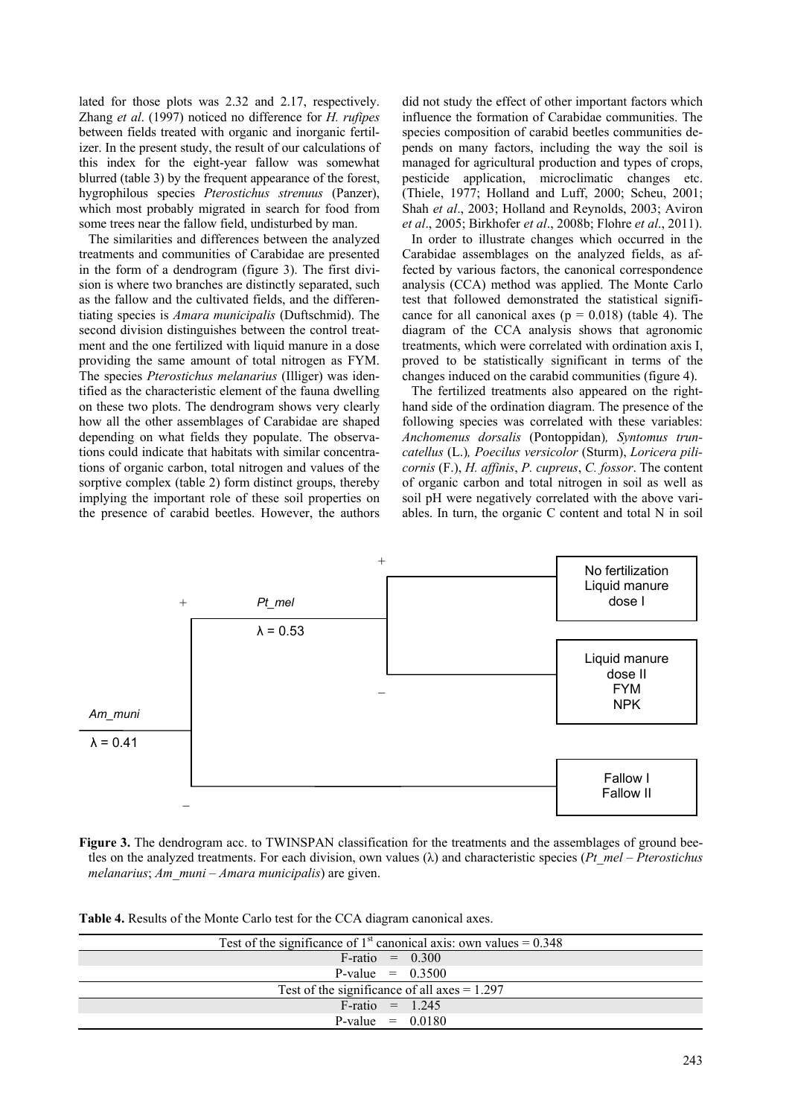lated for those plots was 2.32 and 2.17, respectively. Zhang *et al*. (1997) noticed no difference for *H. rufipes* between fields treated with organic and inorganic fertilizer. In the present study, the result of our calculations of this index for the eight-year fallow was somewhat blurred (table 3) by the frequent appearance of the forest, hygrophilous species *Pterostichus strenuus* (Panzer), which most probably migrated in search for food from some trees near the fallow field, undisturbed by man.

The similarities and differences between the analyzed treatments and communities of Carabidae are presented in the form of a dendrogram (figure 3). The first division is where two branches are distinctly separated, such as the fallow and the cultivated fields, and the differentiating species is *Amara municipalis* (Duftschmid). The second division distinguishes between the control treatment and the one fertilized with liquid manure in a dose providing the same amount of total nitrogen as FYM. The species *Pterostichus melanarius* (Illiger) was identified as the characteristic element of the fauna dwelling on these two plots. The dendrogram shows very clearly how all the other assemblages of Carabidae are shaped depending on what fields they populate. The observations could indicate that habitats with similar concentrations of organic carbon, total nitrogen and values of the sorptive complex (table 2) form distinct groups, thereby implying the important role of these soil properties on the presence of carabid beetles. However, the authors

did not study the effect of other important factors which influence the formation of Carabidae communities. The species composition of carabid beetles communities depends on many factors, including the way the soil is managed for agricultural production and types of crops, pesticide application, microclimatic changes etc. (Thiele, 1977; Holland and Luff, 2000; Scheu, 2001; Shah *et al*., 2003; Holland and Reynolds, 2003; Aviron *et al*., 2005; Birkhofer *et al*., 2008b; Flohre *et al*., 2011).

In order to illustrate changes which occurred in the Carabidae assemblages on the analyzed fields, as affected by various factors, the canonical correspondence analysis (CCA) method was applied. The Monte Carlo test that followed demonstrated the statistical significance for all canonical axes ( $p = 0.018$ ) (table 4). The diagram of the CCA analysis shows that agronomic treatments, which were correlated with ordination axis I, proved to be statistically significant in terms of the changes induced on the carabid communities (figure 4).

The fertilized treatments also appeared on the righthand side of the ordination diagram. The presence of the following species was correlated with these variables: *Anchomenus dorsalis* (Pontoppidan)*, Syntomus truncatellus* (L.)*, Poecilus versicolor* (Sturm), *Loricera pilicornis* (F.), *H. affinis*, *P. cupreus*, *C. fossor*. The content of organic carbon and total nitrogen in soil as well as soil pH were negatively correlated with the above variables. In turn, the organic C content and total N in soil



**Figure 3.** The dendrogram acc. to TWINSPAN classification for the treatments and the assemblages of ground beetles on the analyzed treatments. For each division, own values (λ) and characteristic species (*Pt\_mel* – *Pterostichus melanarius*; *Am\_muni* – *Amara municipalis*) are given.

**Table 4.** Results of the Monte Carlo test for the CCA diagram canonical axes.

| Test of the significance of 1 <sup>st</sup> canonical axis: own values = $0.348$ |  |  |  |  |  |
|----------------------------------------------------------------------------------|--|--|--|--|--|
| $F$ -ratio = 0.300                                                               |  |  |  |  |  |
| P-value = $0.3500$                                                               |  |  |  |  |  |
| Test of the significance of all axes $= 1.297$                                   |  |  |  |  |  |
| $F$ -ratio = 1.245                                                               |  |  |  |  |  |
| P-value $= 0.0180$                                                               |  |  |  |  |  |
|                                                                                  |  |  |  |  |  |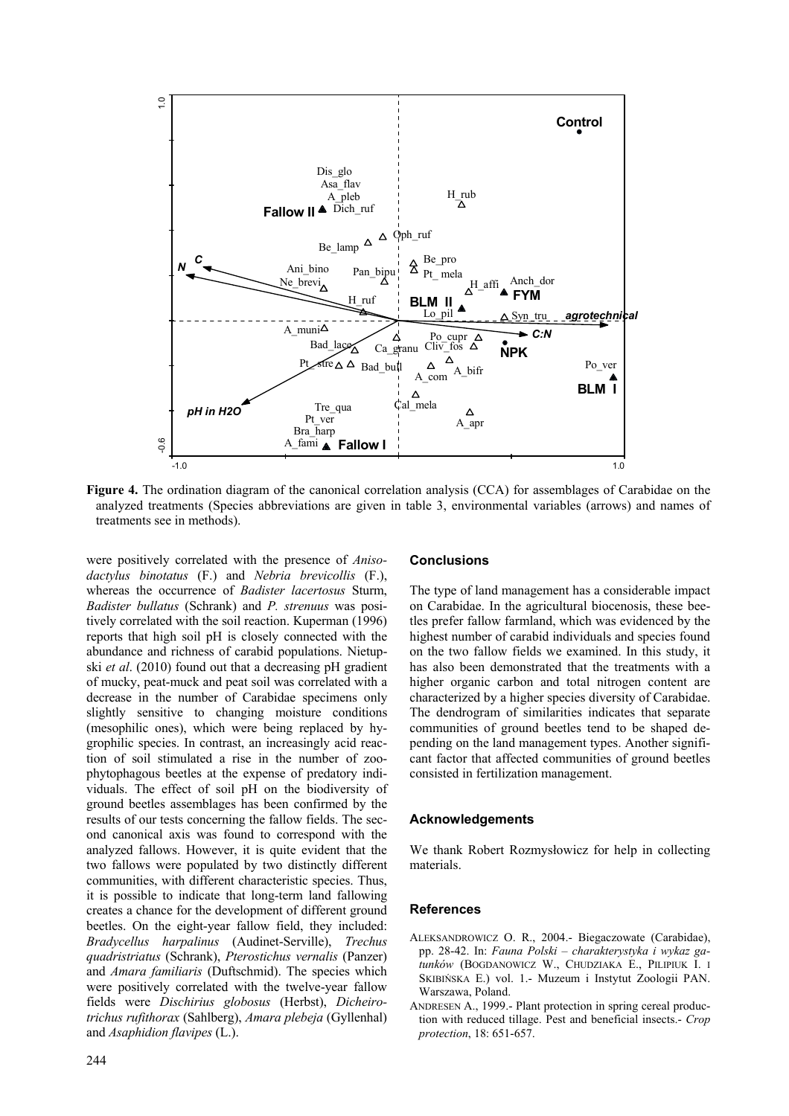

**Figure 4.** The ordination diagram of the canonical correlation analysis (CCA) for assemblages of Carabidae on the analyzed treatments (Species abbreviations are given in table 3, environmental variables (arrows) and names of treatments see in methods).

were positively correlated with the presence of *Anisodactylus binotatus* (F.) and *Nebria brevicollis* (F.), whereas the occurrence of *Badister lacertosus* Sturm, *Badister bullatus* (Schrank) and *P. strenuus* was positively correlated with the soil reaction. Kuperman (1996) reports that high soil pH is closely connected with the abundance and richness of carabid populations. Nietupski *et al*. (2010) found out that a decreasing pH gradient of mucky, peat-muck and peat soil was correlated with a decrease in the number of Carabidae specimens only slightly sensitive to changing moisture conditions (mesophilic ones), which were being replaced by hygrophilic species. In contrast, an increasingly acid reaction of soil stimulated a rise in the number of zoophytophagous beetles at the expense of predatory individuals. The effect of soil pH on the biodiversity of ground beetles assemblages has been confirmed by the results of our tests concerning the fallow fields. The second canonical axis was found to correspond with the analyzed fallows. However, it is quite evident that the two fallows were populated by two distinctly different communities, with different characteristic species. Thus, it is possible to indicate that long-term land fallowing creates a chance for the development of different ground beetles. On the eight-year fallow field, they included: *Bradycellus harpalinus* (Audinet-Serville), *Trechus quadristriatus* (Schrank), *Pterostichus vernalis* (Panzer) and *Amara familiaris* (Duftschmid). The species which were positively correlated with the twelve-year fallow fields were *Dischirius globosus* (Herbst), *Dicheirotrichus rufithorax* (Sahlberg), *Amara plebeja* (Gyllenhal) and *Asaphidion flavipes* (L.).

## **Conclusions**

The type of land management has a considerable impact on Carabidae. In the agricultural biocenosis, these beetles prefer fallow farmland, which was evidenced by the highest number of carabid individuals and species found on the two fallow fields we examined. In this study, it has also been demonstrated that the treatments with a higher organic carbon and total nitrogen content are characterized by a higher species diversity of Carabidae. The dendrogram of similarities indicates that separate communities of ground beetles tend to be shaped depending on the land management types. Another significant factor that affected communities of ground beetles consisted in fertilization management.

#### **Acknowledgements**

We thank Robert Rozmysłowicz for help in collecting materials.

# **References**

- ALEKSANDROWICZ O. R., 2004.- Biegaczowate (Carabidae), pp. 28-42. In: *Fauna Polski – charakterystyka i wykaz gatunków* (BOGDANOWICZ W., CHUDZIAKA E., PILIPIUK I. I SKIBIŃSKA E.) vol. 1.- Muzeum i Instytut Zoologii PAN. Warszawa, Poland.
- ANDRESEN A., 1999.- Plant protection in spring cereal production with reduced tillage. Pest and beneficial insects.- *Crop protection*, 18: 651-657.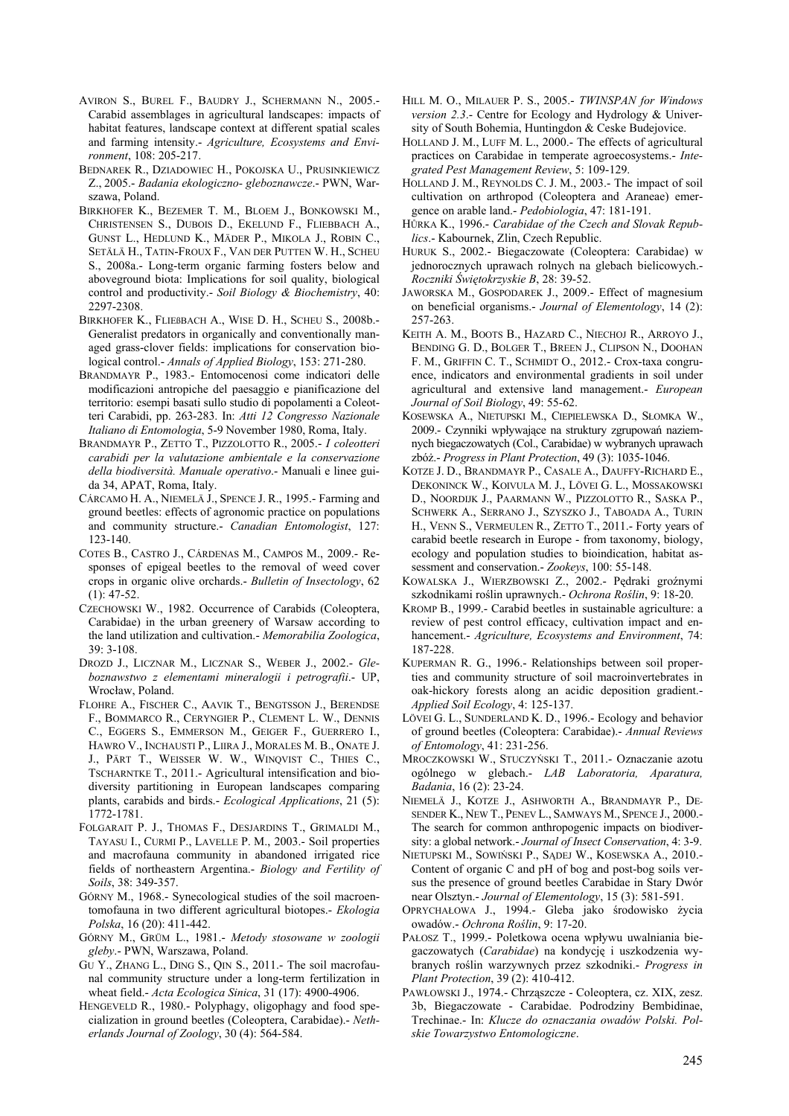AVIRON S., BUREL F., BAUDRY J., SCHERMANN N., 2005.- Carabid assemblages in agricultural landscapes: impacts of habitat features, landscape context at different spatial scales and farming intensity.- *Agriculture, Ecosystems and Environment*, 108: 205-217.

BEDNAREK R., DZIADOWIEC H., POKOJSKA U., PRUSINKIEWICZ Z., 2005.- *Badania ekologiczno- gleboznawcze*.- PWN, Warszawa, Poland.

- BIRKHOFER K., BEZEMER T. M., BLOEM J., BONKOWSKI M., CHRISTENSEN S., DUBOIS D., EKELUND F., FLIEΒBACH A., GUNST L., HEDLUND K., MÄDER P., MIKOLA J., ROBIN C., SETÄLÄ H., TATIN-FROUX F., VAN DER PUTTEN W. H., SCHEU S., 2008a.- Long-term organic farming fosters below and aboveground biota: Implications for soil quality, biological control and productivity.- *Soil Biology & Biochemistry*, 40: 2297-2308.
- BIRKHOFER K., FLIEßBACH A., WISE D. H., SCHEU S., 2008b.- Generalist predators in organically and conventionally managed grass-clover fields: implications for conservation biological control.- *Annals of Applied Biology*, 153: 271-280.
- BRANDMAYR P., 1983.- Entomocenosi come indicatori delle modificazioni antropiche del paesaggio e pianificazione del territorio: esempi basati sullo studio di popolamenti a Coleotteri Carabidi, pp. 263-283. In: *Atti 12 Congresso Nazionale Italiano di Entomologia*, 5-9 November 1980, Roma, Italy.
- BRANDMAYR P., ZETTO T., PIZZOLOTTO R., 2005.- *I coleotteri carabidi per la valutazione ambientale e la conservazione della biodiversità. Manuale operativo*.- Manuali e linee guida 34, APAT, Roma, Italy.
- CÁRCAMO H. A., NIEMELÄ J., SPENCE J. R., 1995.- Farming and ground beetles: effects of agronomic practice on populations and community structure.- *Canadian Entomologist*, 127: 123-140.
- COTES B., CASTRO J., CÁRDENAS M., CAMPOS M., 2009.- Responses of epigeal beetles to the removal of weed cover crops in organic olive orchards.- *Bulletin of Insectology*, 62  $(1): 47-52.$
- CZECHOWSKI W., 1982. Occurrence of Carabids (Coleoptera, Carabidae) in the urban greenery of Warsaw according to the land utilization and cultivation.- *Memorabilia Zoologica*, 39: 3-108.
- DROZD J., LICZNAR M., LICZNAR S., WEBER J., 2002.- *Gleboznawstwo z elementami mineralogii i petrografii*.- UP, Wrocław, Poland.
- FLOHRE A., FISCHER C., AAVIK T., BENGTSSON J., BERENDSE F., BOMMARCO R., CERYNGIER P., CLEMENT L. W., DENNIS C., EGGERS S., EMMERSON M., GEIGER F., GUERRERO I., HAWRO V., INCHAUSTI P., LIIRA J., MORALES M. B., ONATE J. J., PÄRT T., WEISSER W. W., WINQVIST C., THIES C., TSCHARNTKE T., 2011.- Agricultural intensification and biodiversity partitioning in European landscapes comparing plants, carabids and birds.- *Ecological Applications*, 21 (5): 1772-1781.
- FOLGARAIT P. J., THOMAS F., DESJARDINS T., GRIMALDI M., TAYASU I., CURMI P., LAVELLE P. M., 2003.- Soil properties and macrofauna community in abandoned irrigated rice fields of northeastern Argentina.- *Biology and Fertility of Soils*, 38: 349-357.
- GÓRNY M., 1968.- Synecological studies of the soil macroentomofauna in two different agricultural biotopes.- *Ekologia Polska*, 16 (20): 411-442.
- GÓRNY M., GRÜM L., 1981.- *Metody stosowane w zoologii gleby*.- PWN, Warszawa, Poland.
- GU Y., ZHANG L., DING S., QIN S., 2011.- The soil macrofaunal community structure under a long-term fertilization in wheat field.- *Acta Ecologica Sinica*, 31 (17): 4900-4906.
- HENGEVELD R., 1980.- Polyphagy, oligophagy and food specialization in ground beetles (Coleoptera, Carabidae).- *Netherlands Journal of Zoology*, 30 (4): 564-584.
- HILL M. O., MILAUER P. S., 2005.- *TWINSPAN for Windows version 2.3*.- Centre for Ecology and Hydrology & University of South Bohemia, Huntingdon & Ceske Budejovice.
- HOLLAND J. M., LUFF M. L., 2000.- The effects of agricultural practices on Carabidae in temperate agroecosystems.- *Integrated Pest Management Review*, 5: 109-129.
- HOLLAND J. M., REYNOLDS C. J. M., 2003.- The impact of soil cultivation on arthropod (Coleoptera and Araneae) emergence on arable land.- *Pedobiologia*, 47: 181-191.
- HŮRKA K., 1996.- *Carabidae of the Czech and Slovak Republics*.- Kabournek, Zlin, Czech Republic.
- HURUK S., 2002.- Biegaczowate (Coleoptera: Carabidae) w jednorocznych uprawach rolnych na glebach bielicowych.- *Roczniki Świętokrzyskie B*, 28: 39-52.
- JAWORSKA M., GOSPODAREK J., 2009.- Effect of magnesium on beneficial organisms.- *Journal of Elementology*, 14 (2): 257-263.
- KEITH A. M., BOOTS B., HAZARD C., NIECHOJ R., ARROYO J., BENDING G. D., BOLGER T., BREEN J., CLIPSON N., DOOHAN F. M., GRIFFIN C. T., SCHMIDT O., 2012.- Crox-taxa congruence, indicators and environmental gradients in soil under agricultural and extensive land management.- *European Journal of Soil Biology*, 49: 55-62.
- KOSEWSKA A., NIETUPSKI M., CIEPIELEWSKA D., SŁOMKA W., 2009.- Czynniki wpływające na struktury zgrupowań naziemnych biegaczowatych (Col., Carabidae) w wybranych uprawach zbóż.- *Progress in Plant Protection*, 49 (3): 1035-1046.
- KOTZE J. D., BRANDMAYR P., CASALE A., DAUFFY-RICHARD E., DEKONINCK W., KOIVULA M. J., LÖVEI G. L., MOSSAKOWSKI D., NOORDIJK J., PAARMANN W., PIZZOLOTTO R., SASKA P., SCHWERK A., SERRANO J., SZYSZKO J., TABOADA A., TURIN H., VENN S., VERMEULEN R., ZETTO T., 2011.- Forty years of carabid beetle research in Europe - from taxonomy, biology, ecology and population studies to bioindication, habitat assessment and conservation.- *Zookeys*, 100: 55-148.
- KOWALSKA J., WIERZBOWSKI Z., 2002.- Pędraki groźnymi szkodnikami roślin uprawnych.- *Ochrona Roślin*, 9: 18-20.
- KROMP B., 1999.- Carabid beetles in sustainable agriculture: a review of pest control efficacy, cultivation impact and enhancement.- *Agriculture, Ecosystems and Environment*, 74: 187-228.
- KUPERMAN R. G., 1996.- Relationships between soil properties and community structure of soil macroinvertebrates in oak-hickory forests along an acidic deposition gradient.- *Applied Soil Ecology*, 4: 125-137.
- LÖVEI G. L., SUNDERLAND K. D., 1996.- Ecology and behavior of ground beetles (Coleoptera: Carabidae).- *Annual Reviews of Entomology*, 41: 231-256.
- MROCZKOWSKI W., STUCZYŃSKI T., 2011.- Oznaczanie azotu ogólnego w glebach.- *LAB Laboratoria, Aparatura, Badania*, 16 (2): 23-24.
- NIEMELÄ J., KOTZE J., ASHWORTH A., BRANDMAYR P., DE-SENDER K., NEW T., PENEV L., SAMWAYS M., SPENCE J., 2000.- The search for common anthropogenic impacts on biodiversity: a global network.- *Journal of Insect Conservation*, 4: 3-9.
- NIETUPSKI M., SOWIŃSKI P., SĄDEJ W., KOSEWSKA A., 2010.- Content of organic C and pH of bog and post-bog soils versus the presence of ground beetles Carabidae in Stary Dwór near Olsztyn.- *Journal of Elementology*, 15 (3): 581-591.
- OPRYCHAŁOWA J., 1994.- Gleba jako środowisko życia owadów.- *Ochrona Roślin*, 9: 17-20.
- PAŁOSZ T., 1999.- Poletkowa ocena wpływu uwalniania biegaczowatych (*Carabidae*) na kondycję i uszkodzenia wybranych roślin warzywnych przez szkodniki.- *Progress in Plant Protection*, 39 (2): 410-412.
- PAWŁOWSKI J., 1974.- Chrząszcze Coleoptera, cz. XIX, zesz. 3b, Biegaczowate - Carabidae. Podrodziny Bembidinae, Trechinae.- In: *Klucze do oznaczania owadów Polski. Polskie Towarzystwo Entomologiczne*.